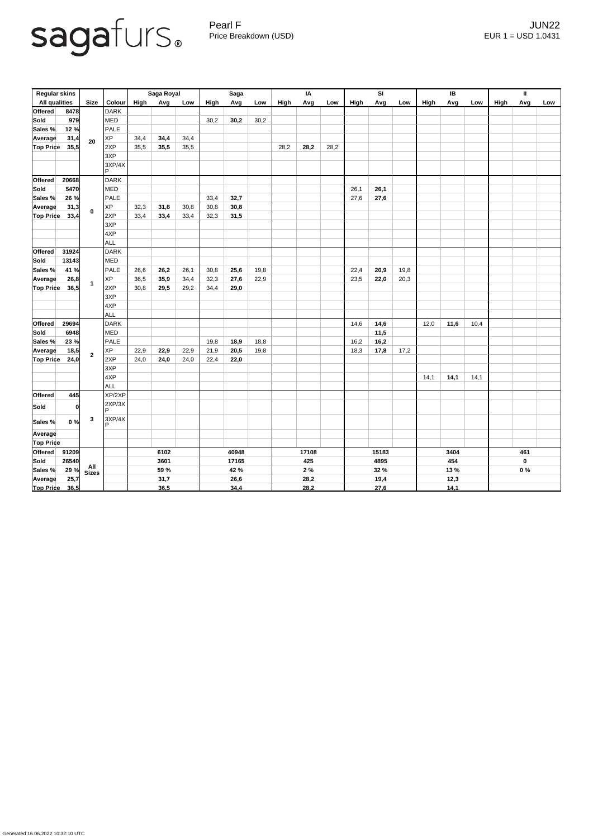Pearl F Gearl Contract of the UNIX and the UNIX and the UNIX and the UNIX and the UNIX and the UNIX and the UNIX and the UNIX and the UNIX and the UNIX and the UNIX and the UNIX and the UNIX and the UNIX and the UNIX and t Price Breakdown (USD) EUR 1 = USD 1.0431

| <b>Regular skins</b> |       |                |                        | Saga Royal  |      |      | <b>Saga</b> |      |      | IA    |      |       | <b>SI</b> |      |      | IB          |      |      | $\mathbf{\mathbf{H}}$ |                  |     |
|----------------------|-------|----------------|------------------------|-------------|------|------|-------------|------|------|-------|------|-------|-----------|------|------|-------------|------|------|-----------------------|------------------|-----|
| <b>All qualities</b> |       | <b>Size</b>    | <b>Colour</b>          | <b>High</b> | Avg  | Low  | High        | Avg  | Low  | High  | Avg  | Low   | High      | Avg  | Low  | <b>High</b> | Avg  | Low  | <b>High</b>           | Avg              | Low |
| Offered              | 8478  |                | <b>DARK</b>            |             |      |      |             |      |      |       |      |       |           |      |      |             |      |      |                       |                  |     |
| Sold                 | 979   |                | MED                    |             |      |      | 30,2        | 30,2 | 30,2 |       |      |       |           |      |      |             |      |      |                       |                  |     |
| Sales %              | 12%   |                | PALE                   |             |      |      |             |      |      |       |      |       |           |      |      |             |      |      |                       |                  |     |
| <b>Average</b>       | 31,4  | 20             | <b>XP</b>              | 34,4        | 34,4 | 34,4 |             |      |      |       |      |       |           |      |      |             |      |      |                       |                  |     |
| Top Price            | 35,5  |                | 2XP                    | 35,5        | 35,5 | 35,5 |             |      |      | 28,2  | 28,2 | 28,2  |           |      |      |             |      |      |                       |                  |     |
|                      |       |                | 3XP                    |             |      |      |             |      |      |       |      |       |           |      |      |             |      |      |                       |                  |     |
|                      |       |                | 3XP/4X<br>$\mathsf{P}$ |             |      |      |             |      |      |       |      |       |           |      |      |             |      |      |                       |                  |     |
| Offered              | 20668 |                | <b>DARK</b>            |             |      |      |             |      |      |       |      |       |           |      |      |             |      |      |                       |                  |     |
| Sold                 | 5470  | $\mathbf 0$    | MED                    |             |      |      |             |      |      |       |      |       | 26,1      | 26,1 |      |             |      |      |                       |                  |     |
| Sales %              | 26%   |                | PALE                   |             |      |      | 33,4        | 32,7 |      |       |      |       | 27,6      | 27,6 |      |             |      |      |                       |                  |     |
| <b>Average</b>       | 31,3  |                | <b>XP</b>              | 32,3        | 31,8 | 30,8 | 30,8        | 30,8 |      |       |      |       |           |      |      |             |      |      |                       |                  |     |
| <b>Top Price</b>     | 33,4  |                | 2XP                    | 33,4        | 33,4 | 33,4 | 32,3        | 31,5 |      |       |      |       |           |      |      |             |      |      |                       |                  |     |
|                      |       |                | 3XP                    |             |      |      |             |      |      |       |      |       |           |      |      |             |      |      |                       |                  |     |
|                      |       |                | 4XP                    |             |      |      |             |      |      |       |      |       |           |      |      |             |      |      |                       |                  |     |
|                      |       |                | ALL                    |             |      |      |             |      |      |       |      |       |           |      |      |             |      |      |                       |                  |     |
| Offered              | 31924 |                | <b>DARK</b>            |             |      |      |             |      |      |       |      |       |           |      |      |             |      |      |                       |                  |     |
| <b>Sold</b>          | 13143 |                | MED                    |             |      |      |             |      |      |       |      |       |           |      |      |             |      |      |                       |                  |     |
| Sales %              | 41 %  |                | PALE                   | 26,6        | 26,2 | 26,1 | 30,8        | 25,6 | 19,8 |       |      |       | 22,4      | 20,9 | 19,8 |             |      |      |                       |                  |     |
| <b>Average</b>       | 26,8  | $\mathbf 1$    | <b>XP</b>              | 36,5        | 35,9 | 34,4 | 32,3        | 27,6 | 22,9 |       |      |       | 23,5      | 22,0 | 20,3 |             |      |      |                       |                  |     |
| <b>Top Price</b>     | 36,5  |                | 2XP                    | 30,8        | 29,5 | 29,2 | 34,4        | 29,0 |      |       |      |       |           |      |      |             |      |      |                       |                  |     |
|                      |       |                | 3XP                    |             |      |      |             |      |      |       |      |       |           |      |      |             |      |      |                       |                  |     |
|                      |       |                | 4XP                    |             |      |      |             |      |      |       |      |       |           |      |      |             |      |      |                       |                  |     |
|                      |       |                | <b>ALL</b>             |             |      |      |             |      |      |       |      |       |           |      |      |             |      |      |                       |                  |     |
| Offered              | 29694 |                | DARK                   |             |      |      |             |      |      |       |      |       | 14,6      | 14,6 |      | 12,0        | 11,6 | 10,4 |                       |                  |     |
| Sold                 | 6948  |                | MED                    |             |      |      |             |      |      |       |      |       |           | 11,5 |      |             |      |      |                       |                  |     |
| Sales %              | 23%   |                | PALE                   |             |      |      | 19,8        | 18,9 | 18,8 |       |      |       | 16,2      | 16,2 |      |             |      |      |                       |                  |     |
| <b>Average</b>       | 18,5  | $\overline{2}$ | <b>XP</b>              | 22,9        | 22,9 | 22,9 | 21,9        | 20,5 | 19,8 |       |      |       | 18,3      | 17,8 | 17,2 |             |      |      |                       |                  |     |
| <b>Top Price</b>     | 24,0  |                | 2XP                    | 24,0        | 24,0 | 24,0 | 22,4        | 22,0 |      |       |      |       |           |      |      |             |      |      |                       |                  |     |
|                      |       |                | 3XP                    |             |      |      |             |      |      |       |      |       |           |      |      |             |      |      |                       |                  |     |
|                      |       |                | 4XP                    |             |      |      |             |      |      |       |      |       |           |      |      | 14,1        | 14,1 | 14,1 |                       |                  |     |
| <b>Offered</b>       | 445   |                | ALL<br>XP/2XP          |             |      |      |             |      |      |       |      |       |           |      |      |             |      |      |                       |                  |     |
|                      |       |                | 2XP/3X                 |             |      |      |             |      |      |       |      |       |           |      |      |             |      |      |                       |                  |     |
| <b>Sold</b>          | 0     |                | D                      |             |      |      |             |      |      |       |      |       |           |      |      |             |      |      |                       |                  |     |
| Sales %              | 0%    | $\mathbf{3}$   | 3XP/4X<br>D            |             |      |      |             |      |      |       |      |       |           |      |      |             |      |      |                       |                  |     |
| Average              |       |                |                        |             |      |      |             |      |      |       |      |       |           |      |      |             |      |      |                       |                  |     |
| <b>Top Price</b>     |       |                |                        |             |      |      |             |      |      |       |      |       |           |      |      |             |      |      |                       |                  |     |
| Offered              | 91209 |                |                        | 6102        |      |      | 40948       |      |      | 17108 |      | 15183 |           |      | 3404 |             |      | 461  |                       |                  |     |
| <b>Sold</b>          | 26540 |                |                        | 3601        |      |      | 17165       |      |      |       | 425  |       | 4895      |      |      | 454         |      |      |                       | $\boldsymbol{0}$ |     |
| Sales %              | 29%   | All<br>Sizes   |                        | 59 %        |      | 42 % |             |      |      | 2%    |      | 32 %  |           |      | 13 % |             |      |      | $0\%$                 |                  |     |
| Average              | 25,7  |                |                        |             | 31,7 |      |             | 26,6 |      |       | 28,2 |       |           | 19,4 |      |             | 12,3 |      |                       |                  |     |
| <b>Top Price</b>     | 36,5  |                |                        |             | 36,5 |      |             | 34,4 |      |       | 28,2 |       |           | 27,6 |      |             | 14,1 |      |                       |                  |     |